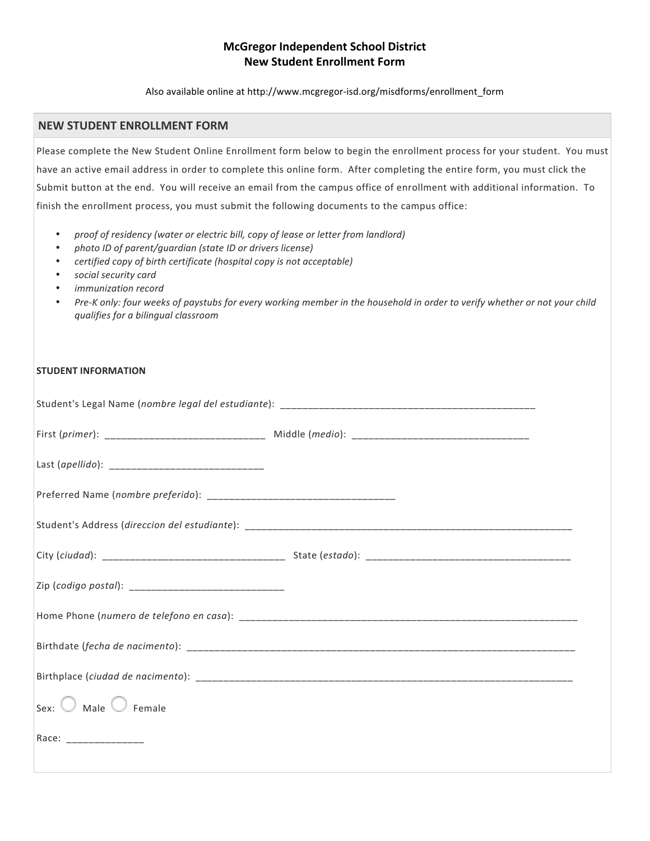## **McGregor Independent School District New Student Enrollment Form**

Also available online at http://www.mcgregor-isd.org/misdforms/enrollment\_form

## **NEW STUDENT ENROLLMENT FORM**

Please complete the New Student Online Enrollment form below to begin the enrollment process for your student. You must have an active email address in order to complete this online form. After completing the entire form, you must click the Submit button at the end. You will receive an email from the campus office of enrollment with additional information. To finish the enrollment process, you must submit the following documents to the campus office:

- *proof of residency (water or electric bill, copy of lease or letter from landlord)*
- photo *ID* of parent/guardian (state *ID* or drivers license)
- *certified copy of birth certificate (hospital copy is not acceptable)*
- *social security card*
- *immunization record*
- Pre-K only: four weeks of paystubs for every working member in the household in order to verify whether or not your child *qualifies for a bilingual classroom*

## **STUDENT INFORMATION**

|                         | First (primer): ___________________________________ Middle (medio): ________________________________ |
|-------------------------|------------------------------------------------------------------------------------------------------|
|                         |                                                                                                      |
|                         |                                                                                                      |
|                         |                                                                                                      |
|                         |                                                                                                      |
|                         |                                                                                                      |
|                         |                                                                                                      |
|                         |                                                                                                      |
|                         |                                                                                                      |
| Sex: Male Female        |                                                                                                      |
| Race: _________________ |                                                                                                      |
|                         |                                                                                                      |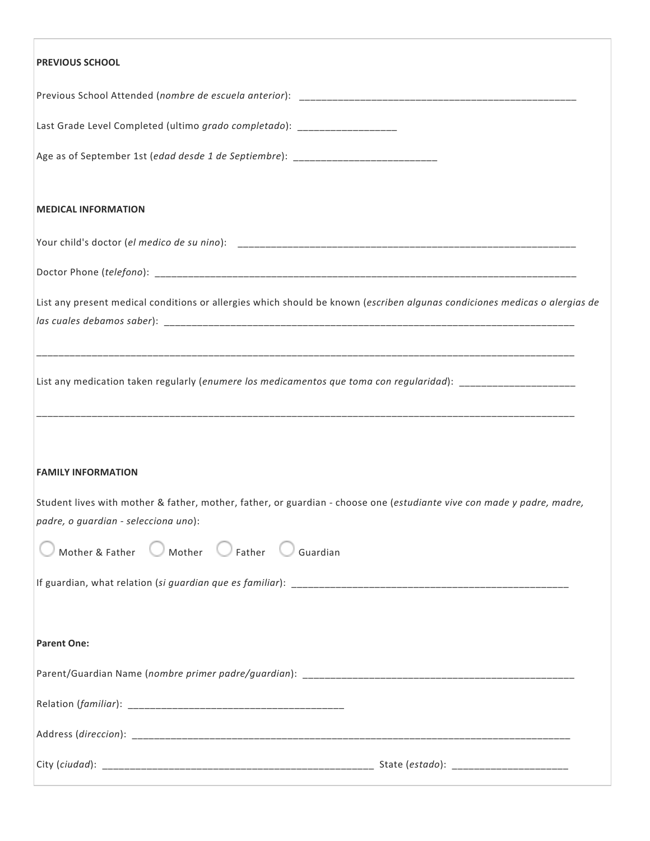| <b>PREVIOUS SCHOOL</b>                                                                                                                                         |
|----------------------------------------------------------------------------------------------------------------------------------------------------------------|
|                                                                                                                                                                |
| Last Grade Level Completed (ultimo grado completado): __________________                                                                                       |
| Age as of September 1st (edad desde 1 de Septiembre): __________________________                                                                               |
| <b>MEDICAL INFORMATION</b>                                                                                                                                     |
|                                                                                                                                                                |
|                                                                                                                                                                |
| List any present medical conditions or allergies which should be known (escriben algunas condiciones medicas o alergias de                                     |
| List any medication taken regularly (enumere los medicamentos que toma con regularidad): ____________________                                                  |
| <b>FAMILY INFORMATION</b>                                                                                                                                      |
| Student lives with mother & father, mother, father, or guardian - choose one (estudiante vive con made y padre, madre,<br>padre, o guardian - selecciona uno): |
| Mother & Father Mother Father Guardian                                                                                                                         |
|                                                                                                                                                                |
| <b>Parent One:</b>                                                                                                                                             |
|                                                                                                                                                                |
|                                                                                                                                                                |
|                                                                                                                                                                |
|                                                                                                                                                                |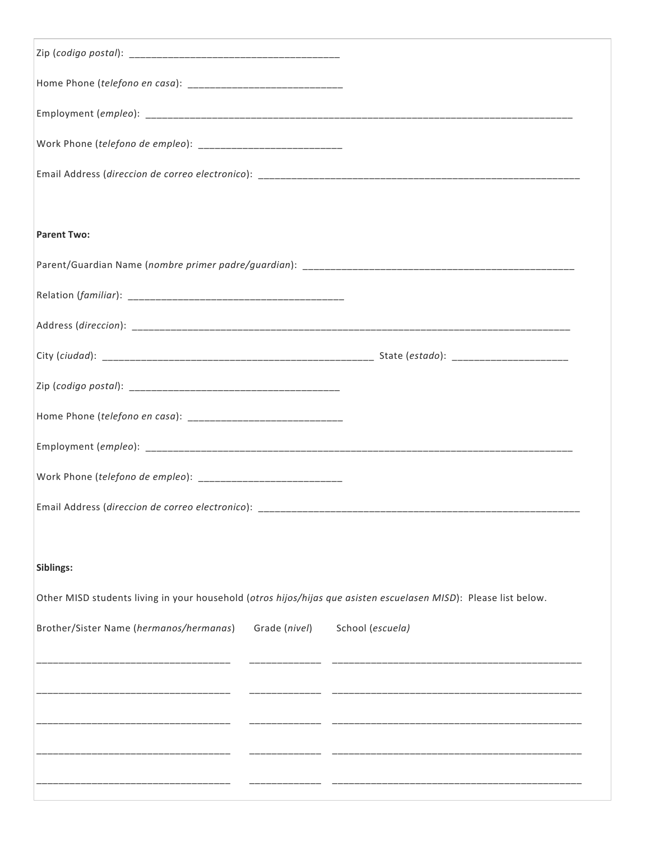| <b>Parent Two:</b>                                                                                               |                  |  |  |  |
|------------------------------------------------------------------------------------------------------------------|------------------|--|--|--|
|                                                                                                                  |                  |  |  |  |
|                                                                                                                  |                  |  |  |  |
|                                                                                                                  |                  |  |  |  |
|                                                                                                                  |                  |  |  |  |
|                                                                                                                  |                  |  |  |  |
|                                                                                                                  |                  |  |  |  |
|                                                                                                                  |                  |  |  |  |
|                                                                                                                  |                  |  |  |  |
|                                                                                                                  |                  |  |  |  |
|                                                                                                                  |                  |  |  |  |
| Siblings:                                                                                                        |                  |  |  |  |
| Other MISD students living in your household (otros hijos/hijas que asisten escuelasen MISD): Please list below. |                  |  |  |  |
| Brother/Sister Name (hermanos/hermanas)<br>Grade (nivel)                                                         | School (escuela) |  |  |  |
|                                                                                                                  |                  |  |  |  |
|                                                                                                                  |                  |  |  |  |
|                                                                                                                  |                  |  |  |  |
|                                                                                                                  |                  |  |  |  |
|                                                                                                                  |                  |  |  |  |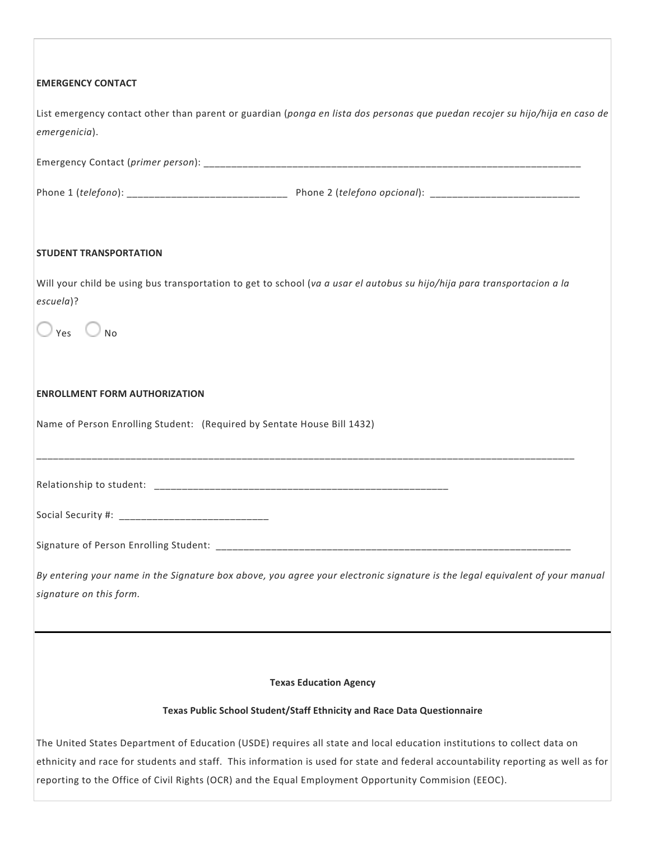| <b>EMERGENCY CONTACT</b>                                                                                                                                                                                                                                                                                                                                             |  |  |  |  |  |
|----------------------------------------------------------------------------------------------------------------------------------------------------------------------------------------------------------------------------------------------------------------------------------------------------------------------------------------------------------------------|--|--|--|--|--|
| List emergency contact other than parent or guardian (ponga en lista dos personas que puedan recojer su hijo/hija en caso de<br>emergenicia).                                                                                                                                                                                                                        |  |  |  |  |  |
|                                                                                                                                                                                                                                                                                                                                                                      |  |  |  |  |  |
|                                                                                                                                                                                                                                                                                                                                                                      |  |  |  |  |  |
| <b>STUDENT TRANSPORTATION</b>                                                                                                                                                                                                                                                                                                                                        |  |  |  |  |  |
| Will your child be using bus transportation to get to school (va a usar el autobus su hijo/hija para transportacion a la<br>escuela)?                                                                                                                                                                                                                                |  |  |  |  |  |
| $\vee$ Yes $\bigcirc$ No                                                                                                                                                                                                                                                                                                                                             |  |  |  |  |  |
| <b>ENROLLMENT FORM AUTHORIZATION</b>                                                                                                                                                                                                                                                                                                                                 |  |  |  |  |  |
| Name of Person Enrolling Student: (Required by Sentate House Bill 1432)                                                                                                                                                                                                                                                                                              |  |  |  |  |  |
|                                                                                                                                                                                                                                                                                                                                                                      |  |  |  |  |  |
|                                                                                                                                                                                                                                                                                                                                                                      |  |  |  |  |  |
|                                                                                                                                                                                                                                                                                                                                                                      |  |  |  |  |  |
| By entering your name in the Signature box above, you agree your electronic signature is the legal equivalent of your manual<br>signature on this form.                                                                                                                                                                                                              |  |  |  |  |  |
|                                                                                                                                                                                                                                                                                                                                                                      |  |  |  |  |  |
| <b>Texas Education Agency</b>                                                                                                                                                                                                                                                                                                                                        |  |  |  |  |  |
| Texas Public School Student/Staff Ethnicity and Race Data Questionnaire                                                                                                                                                                                                                                                                                              |  |  |  |  |  |
| The United States Department of Education (USDE) requires all state and local education institutions to collect data on<br>ethnicity and race for students and staff. This information is used for state and federal accountability reporting as well as for<br>reporting to the Office of Civil Rights (OCR) and the Equal Employment Opportunity Commision (EEOC). |  |  |  |  |  |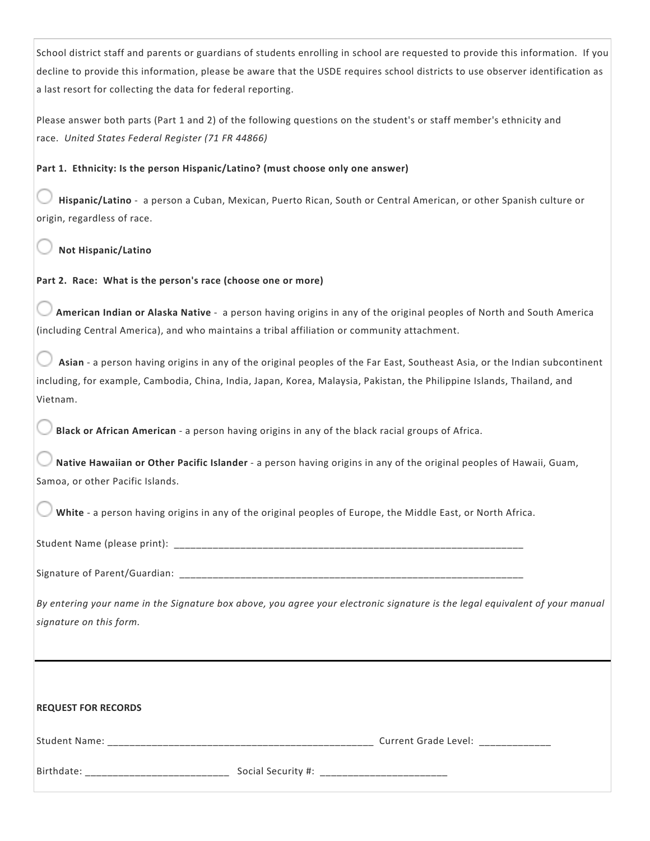School district staff and parents or guardians of students enrolling in school are requested to provide this information. If you decline to provide this information, please be aware that the USDE requires school districts to use observer identification as a last resort for collecting the data for federal reporting.

Please answer both parts (Part 1 and 2) of the following questions on the student's or staff member's ethnicity and race. United States Federal Register (71 FR 44866)

## **Part 1. Ethnicity: Is the person Hispanic/Latino? (must choose only one answer)**

Hispanic/Latino - a person a Cuban, Mexican, Puerto Rican, South or Central American, or other Spanish culture or origin, regardless of race.

**Not Hispanic/Latino**

Part 2. Race: What is the person's race (choose one or more)

American Indian or Alaska Native - a person having origins in any of the original peoples of North and South America (including Central America), and who maintains a tribal affiliation or community attachment.

Asian - a person having origins in any of the original peoples of the Far East, Southeast Asia, or the Indian subcontinent including, for example, Cambodia, China, India, Japan, Korea, Malaysia, Pakistan, the Philippine Islands, Thailand, and Vietnam.

**Black or African American** - a person having origins in any of the black racial groups of Africa.

Native Hawaiian or Other Pacific Islander - a person having origins in any of the original peoples of Hawaii, Guam, Samoa, or other Pacific Islands.

**White** - a person having origins in any of the original peoples of Europe, the Middle East, or North Africa.

Student Name (please print):

Signature of Parent/Guardian:

By entering your name in the Signature box above, you agree your electronic signature is the legal equivalent of your manual *signature on this form.*

| <b>REQUEST FOR RECORDS</b> |                    |                      |
|----------------------------|--------------------|----------------------|
| Student Name:              |                    | Current Grade Level: |
| Birthdate:                 | Social Security #: |                      |